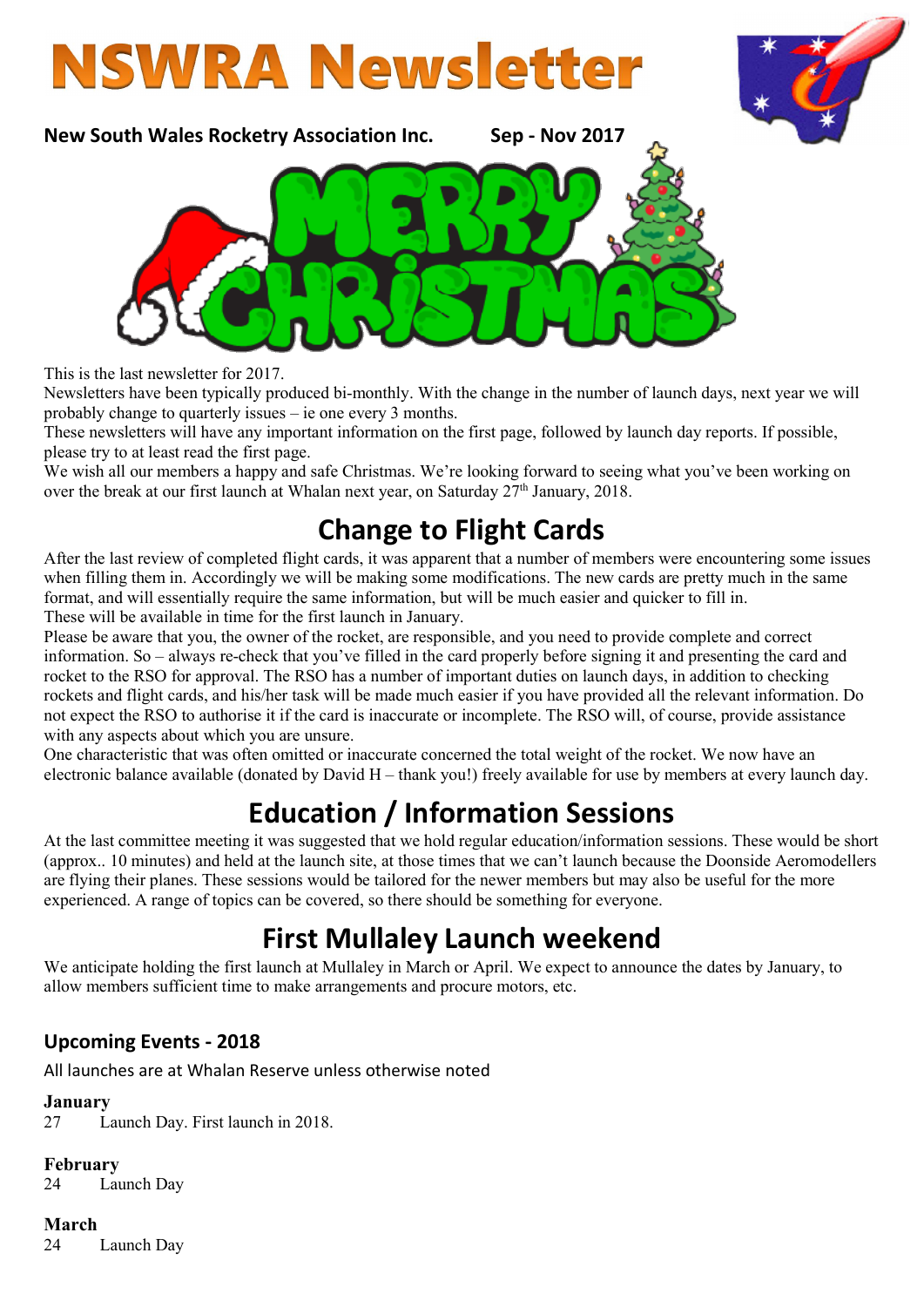



New South Wales Rocketry Association Inc. Sep - Nov 2017



This is the last newsletter for 2017.

Newsletters have been typically produced bi-monthly. With the change in the number of launch days, next year we will probably change to quarterly issues – ie one every 3 months.

These newsletters will have any important information on the first page, followed by launch day reports. If possible, please try to at least read the first page.

We wish all our members a happy and safe Christmas. We're looking forward to seeing what you've been working on over the break at our first launch at Whalan next year, on Saturday  $27<sup>th</sup>$  January, 2018.

## Change to Flight Cards

After the last review of completed flight cards, it was apparent that a number of members were encountering some issues when filling them in. Accordingly we will be making some modifications. The new cards are pretty much in the same format, and will essentially require the same information, but will be much easier and quicker to fill in. These will be available in time for the first launch in January.

Please be aware that you, the owner of the rocket, are responsible, and you need to provide complete and correct information. So – always re-check that you've filled in the card properly before signing it and presenting the card and rocket to the RSO for approval. The RSO has a number of important duties on launch days, in addition to checking rockets and flight cards, and his/her task will be made much easier if you have provided all the relevant information. Do not expect the RSO to authorise it if the card is inaccurate or incomplete. The RSO will, of course, provide assistance with any aspects about which you are unsure.

One characteristic that was often omitted or inaccurate concerned the total weight of the rocket. We now have an electronic balance available (donated by David H – thank you!) freely available for use by members at every launch day.

# Education / Information Sessions

At the last committee meeting it was suggested that we hold regular education/information sessions. These would be short (approx.. 10 minutes) and held at the launch site, at those times that we can't launch because the Doonside Aeromodellers are flying their planes. These sessions would be tailored for the newer members but may also be useful for the more experienced. A range of topics can be covered, so there should be something for everyone.

## First Mullaley Launch weekend

We anticipate holding the first launch at Mullaley in March or April. We expect to announce the dates by January, to allow members sufficient time to make arrangements and procure motors, etc.

### Upcoming Events - 2018

All launches are at Whalan Reserve unless otherwise noted

#### January

27 Launch Day. First launch in 2018.

#### February

24 Launch Day

#### March

24 Launch Day